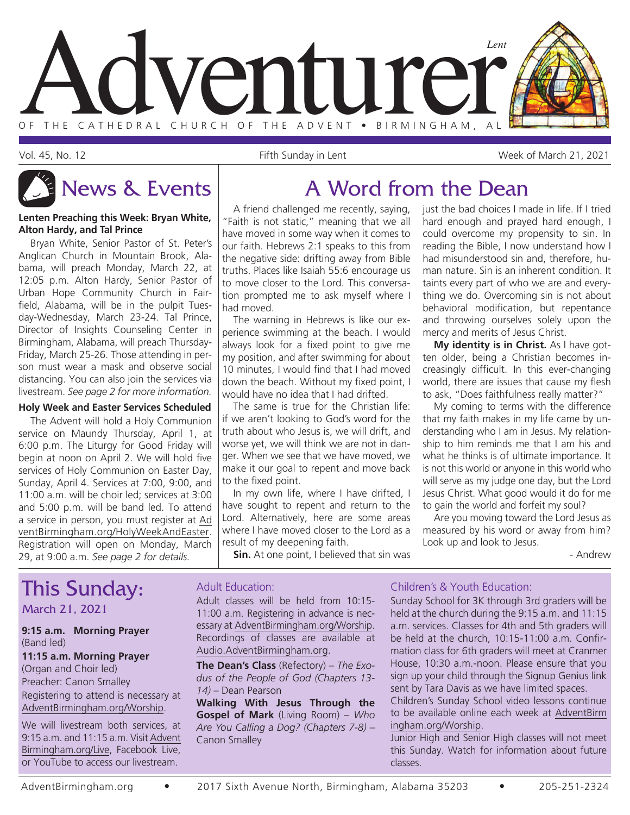

Vol. 45, No. 12 Fifth Sunday in Lent Week of March 21, 2021

#### **Lenten Preaching this Week: Bryan White, Alton Hardy, and Tal Prince**

Bryan White, Senior Pastor of St. Peter's Anglican Church in Mountain Brook, Alabama, will preach Monday, March 22, at 12:05 p.m. Alton Hardy, Senior Pastor of Urban Hope Community Church in Fairfield, Alabama, will be in the pulpit Tuesday-Wednesday, March 23-24. Tal Prince, Director of Insights Counseling Center in Birmingham, Alabama, will preach Thursday-Friday, March 25-26. Those attending in person must wear a mask and observe social distancing. You can also join the services via livestream. *See page 2 for more information.*

#### **Holy Week and Easter Services Scheduled**

The Advent will hold a Holy Communion service on Maundy Thursday, April 1, at 6:00 p.m. The Liturgy for Good Friday will begin at noon on April 2. We will hold five services of Holy Communion on Easter Day, Sunday, April 4. Services at 7:00, 9:00, and 11:00 a.m. will be choir led; services at 3:00 and 5:00 p.m. will be band led. To attend a service in person, you must register at Ad ventBirmingham.org/HolyWeekAndEaster. Registration will open on Monday, March 29, at 9:00 a.m. *See page 2 for details.*

## News & Events A Word from the Dean

A friend challenged me recently, saying, "Faith is not static," meaning that we all have moved in some way when it comes to our faith. Hebrews 2:1 speaks to this from the negative side: drifting away from Bible truths. Places like Isaiah 55:6 encourage us to move closer to the Lord. This conversation prompted me to ask myself where I had moved.

The warning in Hebrews is like our experience swimming at the beach. I would always look for a fixed point to give me my position, and after swimming for about 10 minutes, I would find that I had moved down the beach. Without my fixed point, I would have no idea that I had drifted.

The same is true for the Christian life: if we aren't looking to God's word for the truth about who Jesus is, we will drift, and worse yet, we will think we are not in danger. When we see that we have moved, we make it our goal to repent and move back to the fixed point.

In my own life, where I have drifted, I have sought to repent and return to the Lord. Alternatively, here are some areas where I have moved closer to the Lord as a result of my deepening faith.

**Sin.** At one point, I believed that sin was

just the bad choices I made in life. If I tried hard enough and prayed hard enough, I could overcome my propensity to sin. In reading the Bible, I now understand how I had misunderstood sin and, therefore, human nature. Sin is an inherent condition. It taints every part of who we are and everything we do. Overcoming sin is not about behavioral modification, but repentance and throwing ourselves solely upon the mercy and merits of Jesus Christ.

**My identity is in Christ.** As I have gotten older, being a Christian becomes increasingly difficult. In this ever-changing world, there are issues that cause my flesh to ask, "Does faithfulness really matter?"

My coming to terms with the difference that my faith makes in my life came by understanding who I am in Jesus. My relationship to him reminds me that I am his and what he thinks is of ultimate importance. It is not this world or anyone in this world who will serve as my judge one day, but the Lord Jesus Christ. What good would it do for me to gain the world and forfeit my soul?

Are you moving toward the Lord Jesus as measured by his word or away from him? Look up and look to Jesus.

- Andrew

## This Sunday:

March 21, 2021

#### **9:15 a.m. Morning Prayer** (Band led)

#### **11:15 a.m. Morning Prayer** (Organ and Choir led) Preacher: Canon Smalley Registering to attend is necessary at

AdventBirmingham.org/Worship. We will livestream both services, at

9:15 a.m. and 11:15 a.m. Visit Advent Birmingham.org/Live, Facebook Live, or YouTube to access our livestream.

#### Adult Education:

Adult classes will be held from 10:15- 11:00 a.m. Registering in advance is necessary at AdventBirmingham.org/Worship. Recordings of classes are available at Audio.AdventBirmingham.org.

**The Dean's Class** (Refectory) – *The Exodus of the People of God (Chapters 13- 14)* – Dean Pearson

**Walking With Jesus Through the Gospel of Mark** (Living Room) – *Who Are You Calling a Dog? (Chapters 7-8)* – Canon Smalley

#### Children's & Youth Education:

Sunday School for 3K through 3rd graders will be held at the church during the 9:15 a.m. and 11:15 a.m. services. Classes for 4th and 5th graders will be held at the church, 10:15-11:00 a.m. Confirmation class for 6th graders will meet at Cranmer House, 10:30 a.m.-noon. Please ensure that you sign up your child through the Signup Genius link sent by Tara Davis as we have limited spaces.

Children's Sunday School video lessons continue to be available online each week at AdventBirm ingham.org/Worship.

Junior High and Senior High classes will not meet this Sunday. Watch for information about future classes.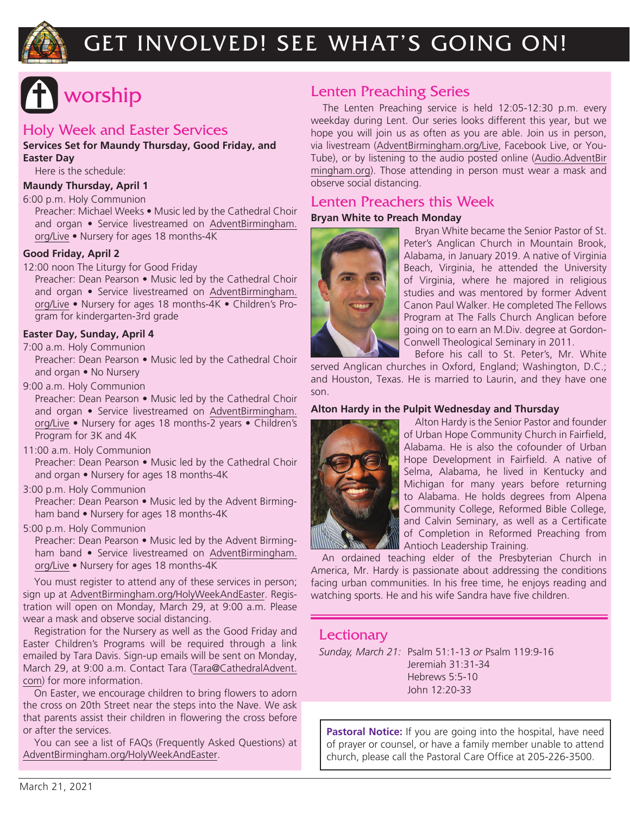

## GET INVOLVED! SEE WHAT'S GOING ON!

## worship

#### Holy Week and Easter Services

**Services Set for Maundy Thursday, Good Friday, and Easter Day**

Here is the schedule:

**Maundy Thursday, April 1**

#### 6:00 p.m. Holy Communion

Preacher: Michael Weeks • Music led by the Cathedral Choir and organ • Service livestreamed on AdventBirmingham. org/Live • Nursery for ages 18 months-4K

#### **Good Friday, April 2**

12:00 noon The Liturgy for Good Friday

Preacher: Dean Pearson • Music led by the Cathedral Choir and organ • Service livestreamed on AdventBirmingham. org/Live • Nursery for ages 18 months-4K • Children's Program for kindergarten-3rd grade

#### **Easter Day, Sunday, April 4**

7:00 a.m. Holy Communion

Preacher: Dean Pearson • Music led by the Cathedral Choir and organ • No Nursery

9:00 a.m. Holy Communion

Preacher: Dean Pearson • Music led by the Cathedral Choir and organ • Service livestreamed on AdventBirmingham. org/Live • Nursery for ages 18 months-2 years • Children's Program for 3K and 4K

11:00 a.m. Holy Communion

Preacher: Dean Pearson • Music led by the Cathedral Choir and organ • Nursery for ages 18 months-4K

3:00 p.m. Holy Communion

Preacher: Dean Pearson • Music led by the Advent Birmingham band • Nursery for ages 18 months-4K

5:00 p.m. Holy Communion

Preacher: Dean Pearson • Music led by the Advent Birmingham band • Service livestreamed on AdventBirmingham. org/Live • Nursery for ages 18 months-4K

You must register to attend any of these services in person; sign up at AdventBirmingham.org/HolyWeekAndEaster. Registration will open on Monday, March 29, at 9:00 a.m. Please wear a mask and observe social distancing.

Registration for the Nursery as well as the Good Friday and Easter Children's Programs will be required through a link emailed by Tara Davis. Sign-up emails will be sent on Monday, March 29, at 9:00 a.m. Contact Tara (Tara@CathedralAdvent. com) for more information.

On Easter, we encourage children to bring flowers to adorn the cross on 20th Street near the steps into the Nave. We ask that parents assist their children in flowering the cross before or after the services.

You can see a list of FAQs (Frequently Asked Questions) at AdventBirmingham.org/HolyWeekAndEaster.

#### Lenten Preaching Series

The Lenten Preaching service is held 12:05-12:30 p.m. every weekday during Lent. Our series looks different this year, but we hope you will join us as often as you are able. Join us in person, via livestream (AdventBirmingham.org/Live, Facebook Live, or You-Tube), or by listening to the audio posted online (Audio.AdventBir mingham.org). Those attending in person must wear a mask and observe social distancing.

#### Lenten Preachers this Week

#### **Bryan White to Preach Monday**



Bryan White became the Senior Pastor of St. Peter's Anglican Church in Mountain Brook, Alabama, in January 2019. A native of Virginia Beach, Virginia, he attended the University of Virginia, where he majored in religious studies and was mentored by former Advent Canon Paul Walker. He completed The Fellows Program at The Falls Church Anglican before going on to earn an M.Div. degree at Gordon-Conwell Theological Seminary in 2011.

Before his call to St. Peter's, Mr. White served Anglican churches in Oxford, England; Washington, D.C.; and Houston, Texas. He is married to Laurin, and they have one son.

#### **Alton Hardy in the Pulpit Wednesday and Thursday**



Alton Hardy is the Senior Pastor and founder of Urban Hope Community Church in Fairfield, Alabama. He is also the cofounder of Urban Hope Development in Fairfield. A native of Selma, Alabama, he lived in Kentucky and Michigan for many years before returning to Alabama. He holds degrees from Alpena Community College, Reformed Bible College, and Calvin Seminary, as well as a Certificate of Completion in Reformed Preaching from **W** Antioch Leadership Training.

An ordained teaching elder of the Presbyterian Church in America, Mr. Hardy is passionate about addressing the conditions facing urban communities. In his free time, he enjoys reading and watching sports. He and his wife Sandra have five children.

#### **Lectionary**

*Sunday, March 21:* Psalm 51:1-13 *or* Psalm 119:9-16 Jeremiah 31:31-34 Hebrews 5:5-10 John 12:20-33

**Pastoral Notice:** If you are going into the hospital, have need of prayer or counsel, or have a family member unable to attend church, please call the Pastoral Care Office at 205-226-3500.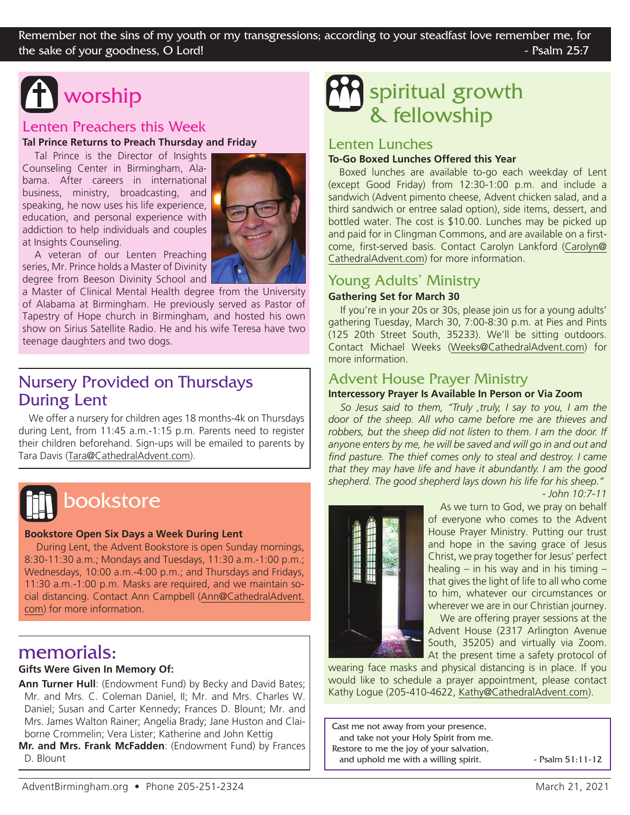# worship

#### Lenten Preachers this Week

**Tal Prince Returns to Preach Thursday and Friday**

Tal Prince is the Director of Insights Counseling Center in Birmingham, Alabama. After careers in international business, ministry, broadcasting, and speaking, he now uses his life experience, education, and personal experience with addiction to help individuals and couples at Insights Counseling.



A veteran of our Lenten Preaching series, Mr. Prince holds a Master of Divinity degree from Beeson Divinity School and

a Master of Clinical Mental Health degree from the University of Alabama at Birmingham. He previously served as Pastor of Tapestry of Hope church in Birmingham, and hosted his own show on Sirius Satellite Radio. He and his wife Teresa have two teenage daughters and two dogs.

#### Nursery Provided on Thursdays During Lent

We offer a nursery for children ages 18 months-4k on Thursdays during Lent, from 11:45 a.m.-1:15 p.m. Parents need to register their children beforehand. Sign-ups will be emailed to parents by Tara Davis (Tara@CathedralAdvent.com).



## bookstore

#### **Bookstore Open Six Days a Week During Lent**

During Lent, the Advent Bookstore is open Sunday mornings, 8:30-11:30 a.m.; Mondays and Tuesdays, 11:30 a.m.-1:00 p.m.; Wednesdays, 10:00 a.m.-4:00 p.m.; and Thursdays and Fridays, 11:30 a.m.-1:00 p.m. Masks are required, and we maintain social distancing. Contact Ann Campbell (Ann@CathedralAdvent. com) for more information.

#### memorials:

#### **Gifts Were Given In Memory Of:**

Ann Turner Hull: (Endowment Fund) by Becky and David Bates; Mr. and Mrs. C. Coleman Daniel, II; Mr. and Mrs. Charles W. Daniel; Susan and Carter Kennedy; Frances D. Blount; Mr. and Mrs. James Walton Rainer; Angelia Brady; Jane Huston and Claiborne Crommelin; Vera Lister; Katherine and John Kettig

**Mr. and Mrs. Frank McFadden**: (Endowment Fund) by Frances D. Blount

## spiritual growth & fellowship

#### Lenten Lunches

#### **To-Go Boxed Lunches Offered this Year**

Boxed lunches are available to-go each weekday of Lent (except Good Friday) from 12:30-1:00 p.m. and include a sandwich (Advent pimento cheese, Advent chicken salad, and a third sandwich or entree salad option), side items, dessert, and bottled water. The cost is \$10.00. Lunches may be picked up and paid for in Clingman Commons, and are available on a firstcome, first-served basis. Contact Carolyn Lankford (Carolyn@ CathedralAdvent.com) for more information.

#### Young Adults' Ministry

#### **Gathering Set for March 30**

If you're in your 20s or 30s, please join us for a young adults' gathering Tuesday, March 30, 7:00-8:30 p.m. at Pies and Pints (125 20th Street South, 35233). We'll be sitting outdoors. Contact Michael Weeks (Weeks@CathedralAdvent.com) for more information.

#### Advent House Prayer Ministry

#### **Intercessory Prayer Is Available In Person or Via Zoom**

*So Jesus said to them, "Truly ,truly, I say to you, I am the door of the sheep. All who came before me are thieves and robbers, but the sheep did not listen to them. I am the door. If anyone enters by me, he will be saved and will go in and out and find pasture. The thief comes only to steal and destroy. I came that they may have life and have it abundantly. I am the good shepherd. The good shepherd lays down his life for his sheep."*





As we turn to God, we pray on behalf of everyone who comes to the Advent House Prayer Ministry. Putting our trust and hope in the saving grace of Jesus Christ, we pray together for Jesus' perfect healing – in his way and in his timing – that gives the light of life to all who come to him, whatever our circumstances or wherever we are in our Christian journey. We are offering prayer sessions at the Advent House (2317 Arlington Avenue

South, 35205) and virtually via Zoom. At the present time a safety protocol of wearing face masks and physical distancing is in place. If you

would like to schedule a prayer appointment, please contact Kathy Logue (205-410-4622, Kathy@CathedralAdvent.com).

Cast me not away from your presence, and take not your Holy Spirit from me. Restore to me the joy of your salvation, and uphold me with a willing spirit.  $\blacksquare$  Psalm 51:11-12